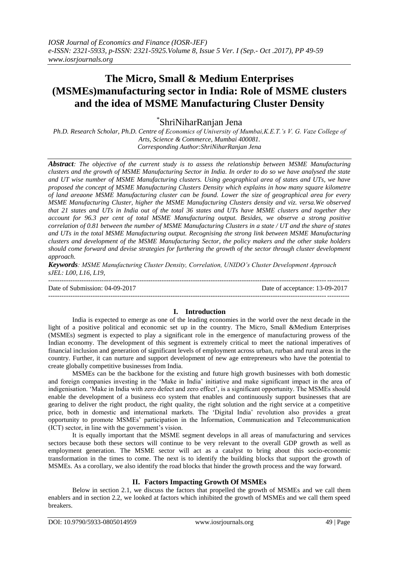# **The Micro, Small & Medium Enterprises (MSMEs)manufacturing sector in India: Role of MSME clusters and the idea of MSME Manufacturing Cluster Density**

\* ShriNiharRanjan Jena

*Ph.D. Research Scholar, Ph.D. Centre of Economics of University of Mumbai,K.E.T.'s V. G. Vaze College of Arts, Science & Commerce, Mumbai 400081. Corresponding Author:ShriNiharRanjan Jena*

*Abstract: The objective of the current study is to assess the relationship between MSME Manufacturing clusters and the growth of MSME Manufacturing Sector in India. In order to do so we have analysed the state and UT wise number of MSME Manufacturing clusters. Using geographical area of states and UTs, we have proposed the concept of MSME Manufacturing Clusters Density which explains in how many square kilometre of land areaone MSME Manufacturing cluster can be found. Lower the size of geographical area for every MSME Manufacturing Cluster, higher the MSME Manufacturing Clusters density and viz. versa.We observed that 21 states and UTs in India out of the total 36 states and UTs have MSME clusters and together they account for 96.3 per cent of total MSME Manufacturing output. Besides, we observe a strong positive correlation of 0.81 between the number of MSME Manufacturing Clusters in a state / UT and the share of states and UTs in the total MSME Manufacturing output. Recognising the strong link between MSME Manufacturing clusters and development of the MSME Manufacturing Sector, the policy makers and the other stake holders should come forward and devise strategies for furthering the growth of the sector through cluster development approach.*

*Keywords: MSME Manufacturing Cluster Density, Correlation, UNIDO's Cluster Development Approach sJEL: L00, L16, L19,* 

--------------------------------------------------------------------------------------------------------------------------------------- Date of Submission: 04-09-2017 Date of acceptance: 13-09-2017 ---------------------------------------------------------------------------------------------------------------------------------------

# **I. Introduction**

India is expected to emerge as one of the leading economies in the world over the next decade in the light of a positive political and economic set up in the country. The Micro, Small &Medium Enterprises (MSMEs) segment is expected to play a significant role in the emergence of manufacturing prowess of the Indian economy. The development of this segment is extremely critical to meet the national imperatives of financial inclusion and generation of significant levels of employment across urban, rurban and rural areas in the country. Further, it can nurture and support development of new age entrepreneurs who have the potential to create globally competitive businesses from India.

MSMEs can be the backbone for the existing and future high growth businesses with both domestic and foreign companies investing in the "Make in India" initiative and make significant impact in the area of indigenisation. "Make in India with zero defect and zero effect", is a significant opportunity. The MSMEs should enable the development of a business eco system that enables and continuously support businesses that are gearing to deliver the right product, the right quality, the right solution and the right service at a competitive price, both in domestic and international markets. The "Digital India" revolution also provides a great opportunity to promote MSMEs" participation in the Information, Communication and Telecommunication (ICT) sector, in line with the government"s vision.

It is equally important that the MSME segment develops in all areas of manufacturing and services sectors because both these sectors will continue to be very relevant to the overall GDP growth as well as employment generation. The MSME sector will act as a catalyst to bring about this socio-economic transformation in the times to come. The next is to identify the building blocks that support the growth of MSMEs. As a corollary, we also identify the road blocks that hinder the growth process and the way forward.

# **II. Factors Impacting Growth Of MSMEs**

Below in section 2.1, we discuss the factors that propelled the growth of MSMEs and we call them enablers and in section 2.2, we looked at factors which inhibited the growth of MSMEs and we call them speed breakers.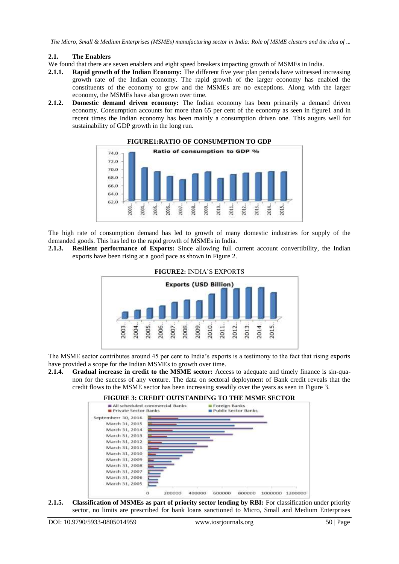#### **2.1. The Enablers**

- We found that there are seven enablers and eight speed breakers impacting growth of MSMEs in India.
- **2.1.1. Rapid growth of the Indian Economy:** The different five year plan periods have witnessed increasing growth rate of the Indian economy. The rapid growth of the larger economy has enabled the constituents of the economy to grow and the MSMEs are no exceptions. Along with the larger economy, the MSMEs have also grown over time.
- **2.1.2. Domestic demand driven economy:** The Indian economy has been primarily a demand driven economy. Consumption accounts for more than 65 per cent of the economy as seen in figure1 and in recent times the Indian economy has been mainly a consumption driven one. This augurs well for sustainability of GDP growth in the long run.



**FIGURE1:RATIO OF CONSUMPTION TO GDP**

The high rate of consumption demand has led to growth of many domestic industries for supply of the demanded goods. This has led to the rapid growth of MSMEs in India.

**2.1.3. Resilient performance of Exports:** Since allowing full current account convertibility, the Indian exports have been rising at a good pace as shown in Figure 2.



The MSME sector contributes around 45 per cent to India"s exports is a testimony to the fact that rising exports have provided a scope for the Indian MSMEs to growth over time.

**2.1.4. Gradual increase in credit to the MSME sector:** Access to adequate and timely finance is sin-quanon for the success of any venture. The data on sectoral deployment of Bank credit reveals that the credit flows to the MSME sector has been increasing steadily over the years as seen in Figure 3.

#### **FIGURE 3: CREDIT OUTSTANDING TO THE MSME SECTOR**



**2.1.5. Classification of MSMEs as part of priority sector lending by RBI:** For classification under priority sector, no limits are prescribed for bank loans sanctioned to Micro, Small and Medium Enterprises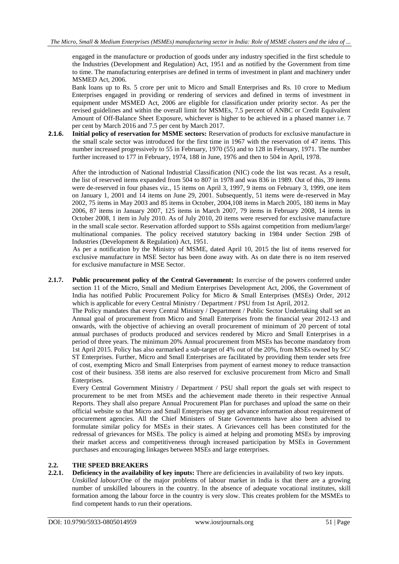engaged in the manufacture or production of goods under any industry specified in the first schedule to the Industries (Development and Regulation) Act, 1951 and as notified by the Government from time to time. The manufacturing enterprises are defined in terms of investment in plant and machinery under MSMED Act, 2006.

Bank loans up to Rs. 5 crore per unit to Micro and Small Enterprises and Rs. 10 crore to Medium Enterprises engaged in providing or rendering of services and defined in terms of investment in equipment under MSMED Act, 2006 are eligible for classification under priority sector. As per the revised guidelines and within the overall limit for MSMEs, 7.5 percent of ANBC or Credit Equivalent Amount of Off-Balance Sheet Exposure, whichever is higher to be achieved in a phased manner i.e. 7 per cent by March 2016 and 7.5 per cent by March 2017.

**2.1.6. Initial policy of reservation for MSME sectors:** Reservation of products for exclusive manufacture in the small scale sector was introduced for the first time in 1967 with the reservation of 47 items. This number increased progressively to 55 in February, 1970 (55) and to 128 in February, 1971. The number further increased to 177 in February, 1974, 188 in June, 1976 and then to 504 in April, 1978.

After the introduction of National Industrial Classification (NIC) code the list was recast. As a result, the list of reserved items expanded from 504 to 807 in 1978 and was 836 in 1989. Out of this, 39 items were de-reserved in four phases viz., 15 items on April 3, 1997, 9 items on February 3, 1999, one item on January 1, 2001 and 14 items on June 29, 2001. Subsequently, 51 items were de-reserved in May 2002, 75 items in May 2003 and 85 items in October, 2004,108 items in March 2005, 180 items in May 2006, 87 items in January 2007, 125 items in March 2007, 79 items in February 2008, 14 items in October 2008, 1 item in July 2010. As of July 2010, 20 items were reserved for exclusive manufacture in the small scale sector. Reservation afforded support to SSIs against competition from medium/large/ multinational companies. The policy received statutory backing in 1984 under Section 29B of Industries (Development & Regulation) Act, 1951.

As per a notification by the Ministry of MSME, dated April 10, 2015 the list of items reserved for exclusive manufacture in MSE Sector has been done away with. As on date there is no item reserved for exclusive manufacture in MSE Sector.

**2.1.7. Public procurement policy of the Central Government:** In exercise of the powers conferred under section 11 of the Micro, Small and Medium Enterprises Development Act, 2006, the Government of India has notified Public Procurement Policy for Micro & Small Enterprises (MSEs) Order, 2012 which is applicable for every Central Ministry / Department / PSU from 1st April, 2012.

The Policy mandates that every Central Ministry / Department / Public Sector Undertaking shall set an Annual goal of procurement from Micro and Small Enterprises from the financial year 2012-13 and onwards, with the objective of achieving an overall procurement of minimum of 20 percent of total annual purchases of products produced and services rendered by Micro and Small Enterprises in a period of three years. The minimum 20% Annual procurement from MSEs has become mandatory from 1st April 2015. Policy has also earmarked a sub-target of 4% out of the 20%, from MSEs owned by SC/ ST Enterprises. Further, Micro and Small Enterprises are facilitated by providing them tender sets free of cost, exempting Micro and Small Enterprises from payment of earnest money to reduce transaction cost of their business. 358 items are also reserved for exclusive procurement from Micro and Small Enterprises.

Every Central Government Ministry / Department / PSU shall report the goals set with respect to procurement to be met from MSEs and the achievement made thereto in their respective Annual Reports. They shall also prepare Annual Procurement Plan for purchases and upload the same on their official website so that Micro and Small Enterprises may get advance information about requirement of procurement agencies. All the Chief Ministers of State Governments have also been advised to formulate similar policy for MSEs in their states. A Grievances cell has been constituted for the redressal of grievances for MSEs. The policy is aimed at helping and promoting MSEs by improving their market access and competitiveness through increased participation by MSEs in Government purchases and encouraging linkages between MSEs and large enterprises.

# 2.2. **THE SPEED BREAKERS**<br>2.2.1. Deficiency in the availability

**2.2.1. Deficiency in the availability of key inputs:** There are deficiencies in availability of two key inputs. *Unskilled labour:*One of the major problems of labour market in India is that there are a growing number of unskilled labourers in the country. In the absence of adequate vocational institutes, skill formation among the labour force in the country is very slow. This creates problem for the MSMEs to find competent hands to run their operations.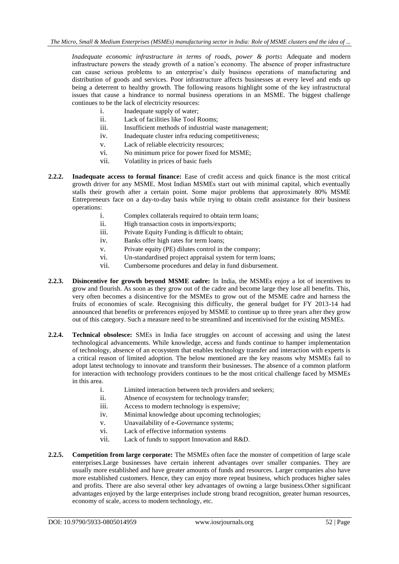*Inadequate economic infrastructure in terms of roads, power & ports***:** Adequate and modern infrastructure powers the steady growth of a nation"s economy. The absence of proper infrastructure can cause serious problems to an enterprise's daily business operations of manufacturing and distribution of goods and services. Poor infrastructure affects businesses at every level and ends up being a deterrent to healthy growth. The following reasons highlight some of the key infrastructural issues that cause a hindrance to normal business operations in an MSME. The biggest challenge continues to be the lack of electricity resources:

- i. Inadequate supply of water;
- ii. Lack of facilities like Tool Rooms;
- iii. Insufficient methods of industrial waste management;
- iv. Inadequate cluster infra reducing competitiveness;
- v. Lack of reliable electricity resources;
- vi. No minimum price for power fixed for MSME;
- vii. Volatility in prices of basic fuels
- **2.2.2. Inadequate access to formal finance:** Ease of credit access and quick finance is the most critical growth driver for any MSME. Most Indian MSMEs start out with minimal capital, which eventually stalls their growth after a certain point. Some major problems that approximately 80% MSME Entrepreneurs face on a day-to-day basis while trying to obtain credit assistance for their business operations:
	- i. Complex collaterals required to obtain term loans;
	- ii. High transaction costs in imports/exports;
	- iii. Private Equity Funding is difficult to obtain;
	- iv. Banks offer high rates for term loans;
	- v. Private equity (PE) dilutes control in the company;
	- vi. Un-standardised project appraisal system for term loans;
	- vii. Cumbersome procedures and delay in fund disbursement.
- **2.2.3. Disincentive for growth beyond MSME cadre:** In India, the MSMEs enjoy a lot of incentives to grow and flourish. As soon as they grow out of the cadre and become large they lose all benefits. This, very often becomes a disincentive for the MSMEs to grow out of the MSME cadre and harness the fruits of economies of scale. Recognising this difficulty, the general budget for FY 2013-14 had announced that benefits or preferences enjoyed by MSME to continue up to three years after they grow out of this category. Such a measure need to be streamlined and incentivised for the existing MSMEs.
- **2.2.4. Technical obsolesce:** SMEs in India face struggles on account of accessing and using the latest technological advancements. While knowledge, access and funds continue to hamper implementation of technology, absence of an ecosystem that enables technology transfer and interaction with experts is a critical reason of limited adoption. The below mentioned are the key reasons why MSMEs fail to adopt latest technology to innovate and transform their businesses. The absence of a common platform for interaction with technology providers continues to be the most critical challenge faced by MSMEs in this area.
	- i. Limited interaction between tech providers and seekers;
	- ii. Absence of ecosystem for technology transfer;
	- iii. Access to modern technology is expensive;
	- iv. Minimal knowledge about upcoming technologies;
	- v. Unavailability of e-Governance systems;
	- vi. Lack of effective information systems
	- vii. Lack of funds to support Innovation and R&D.
- **2.2.5. Competition from large corporate:** The MSMEs often face the monster of competition of large scale enterprises.Large businesses have certain inherent advantages over smaller companies. They are usually more established and have greater amounts of funds and resources. Larger companies also have more established customers. Hence, they can enjoy more repeat business, which produces higher sales and profits. There are also several other key advantages of owning a large business.Other significant advantages enjoyed by the large enterprises include strong brand recognition, greater human resources, economy of scale, access to modern technology, etc.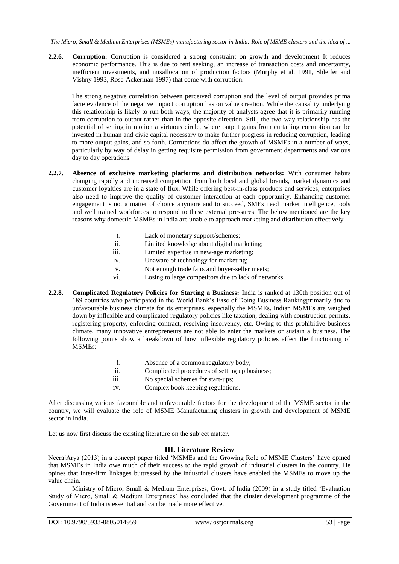**2.2.6. Corruption:** Corruption is considered a strong constraint on growth and development. It reduces economic performance. This is due to rent seeking, an increase of transaction costs and uncertainty, inefficient investments, and misallocation of production factors (Murphy et al. 1991, Shleifer and Vishny 1993, Rose-Ackerman 1997) that come with corruption.

The strong negative correlation between perceived corruption and the level of output provides prima facie evidence of the negative impact corruption has on value creation. While the causality underlying this relationship is likely to run both ways, the majority of analysts agree that it is primarily running from corruption to output rather than in the opposite direction. Still, the two-way relationship has the potential of setting in motion a virtuous circle, where output gains from curtailing corruption can be invested in human and civic capital necessary to make further progress in reducing corruption, leading to more output gains, and so forth. Corruptions do affect the growth of MSMEs in a number of ways, particularly by way of delay in getting requisite permission from government departments and various day to day operations.

- **2.2.7. Absence of exclusive marketing platforms and distribution networks:** With consumer habits changing rapidly and increased competition from both local and global brands, market dynamics and customer loyalties are in a state of flux. While offering best-in-class products and services, enterprises also need to improve the quality of customer interaction at each opportunity. Enhancing customer engagement is not a matter of choice anymore and to succeed, SMEs need market intelligence, tools and well trained workforces to respond to these external pressures. The below mentioned are the key reasons why domestic MSMEs in India are unable to approach marketing and distribution effectively.
	- i. Lack of monetary support/schemes;
	- ii. Limited knowledge about digital marketing;
	- iii. Limited expertise in new-age marketing;
	- iv. Unaware of technology for marketing;
	- v. Not enough trade fairs and buyer-seller meets;
	- vi. Losing to large competitors due to lack of networks.
- **2.2.8. Complicated Regulatory Policies for Starting a Business:** India is ranked at 130th position out of 189 countries who participated in the World Bank"s Ease of Doing Business Rankingprimarily due to unfavourable business climate for its enterprises, especially the MSMEs. Indian MSMEs are weighed down by inflexible and complicated regulatory policies like taxation, dealing with construction permits, registering property, enforcing contract, resolving insolvency, etc. Owing to this prohibitive business climate, many innovative entrepreneurs are not able to enter the markets or sustain a business. The following points show a breakdown of how inflexible regulatory policies affect the functioning of MSMEs:
	- i. Absence of a common regulatory body;
	- ii. Complicated procedures of setting up business;
	- iii. No special schemes for start-ups;
	- iv. Complex book keeping regulations.

After discussing various favourable and unfavourable factors for the development of the MSME sector in the country, we will evaluate the role of MSME Manufacturing clusters in growth and development of MSME sector in India.

Let us now first discuss the existing literature on the subject matter.

#### **III. Literature Review**

NeerajArya (2013) in a concept paper titled 'MSMEs and the Growing Role of MSME Clusters' have opined that MSMEs in India owe much of their success to the rapid growth of industrial clusters in the country. He opines that inter-firm linkages buttressed by the industrial clusters have enabled the MSMEs to move up the value chain.

Ministry of Micro, Small & Medium Enterprises, Govt. of India (2009) in a study titled "Evaluation Study of Micro, Small & Medium Enterprises" has concluded that the cluster development programme of the Government of India is essential and can be made more effective.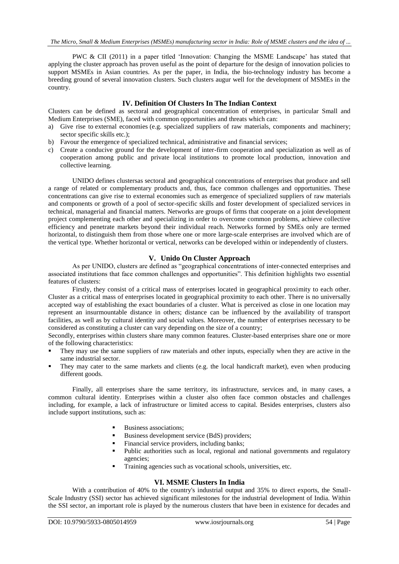PWC & CII (2011) in a paper titled 'Innovation: Changing the MSME Landscape' has stated that applying the cluster approach has proven useful as the point of departure for the design of innovation policies to support MSMEs in Asian countries. As per the paper, in India, the bio-technology industry has become a breeding ground of several innovation clusters. Such clusters augur well for the development of MSMEs in the country.

#### **IV. Definition Of Clusters In The Indian Context**

Clusters can be defined as sectoral and geographical concentration of enterprises, in particular Small and Medium Enterprises (SME), faced with common opportunities and threats which can:

- a) Give rise to external economies (e.g. specialized suppliers of raw materials, components and machinery; sector specific skills etc.);
- b) Favour the emergence of specialized technical, administrative and financial services;
- c) Create a conducive ground for the development of inter-firm cooperation and specialization as well as of cooperation among public and private local institutions to promote local production, innovation and collective learning.

UNIDO defines clustersas sectoral and geographical concentrations of enterprises that produce and sell a range of related or complementary products and, thus, face common challenges and opportunities. These concentrations can give rise to external economies such as emergence of specialized suppliers of raw materials and components or growth of a pool of sector-specific skills and foster development of specialized services in technical, managerial and financial matters. Networks are groups of firms that cooperate on a joint development project complementing each other and specializing in order to overcome common problems, achieve collective efficiency and penetrate markets beyond their individual reach. Networks formed by SMEs only are termed horizontal, to distinguish them from those where one or more large-scale enterprises are involved which are of the vertical type. Whether horizontal or vertical, networks can be developed within or independently of clusters.

#### **V. Unido On Cluster Approach**

As per UNIDO, clusters are defined as "geographical concentrations of inter-connected enterprises and associated institutions that face common challenges and opportunities". This definition highlights two essential features of clusters:

Firstly, they consist of a critical mass of enterprises located in geographical proximity to each other. Cluster as a critical mass of enterprises located in geographical proximity to each other. There is no universally accepted way of establishing the exact boundaries of a cluster. What is perceived as close in one location may represent an insurmountable distance in others; distance can be influenced by the availability of transport facilities, as well as by cultural identity and social values. Moreover, the number of enterprises necessary to be considered as constituting a cluster can vary depending on the size of a country;

Secondly, enterprises within clusters share many common features. Cluster-based enterprises share one or more of the following characteristics:

- They may use the same suppliers of raw materials and other inputs, especially when they are active in the same industrial sector.
- They may cater to the same markets and clients (e.g. the local handicraft market), even when producing different goods.

Finally, all enterprises share the same territory, its infrastructure, services and, in many cases, a common cultural identity. Enterprises within a cluster also often face common obstacles and challenges including, for example, a lack of infrastructure or limited access to capital. Besides enterprises, clusters also include support institutions, such as:

- Business associations;
- Business development service (BdS) providers;
- Financial service providers, including banks;
- Public authorities such as local, regional and national governments and regulatory agencies;
- Training agencies such as vocational schools, universities, etc.

#### **VI. MSME Clusters In India**

With a contribution of 40% to the country's industrial output and 35% to direct exports, the Small-Scale Industry (SSI) sector has achieved significant milestones for the industrial development of India. Within the SSI sector, an important role is played by the numerous clusters that have been in existence for decades and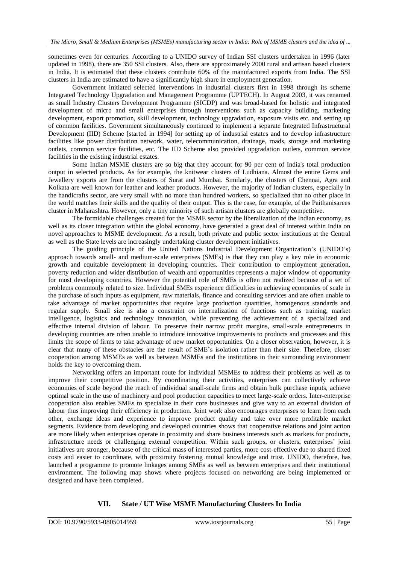sometimes even for centuries. According to a UNIDO survey of Indian SSI clusters undertaken in 1996 (later updated in 1998), there are 350 SSI clusters. Also, there are approximately 2000 rural and artisan based clusters in India. It is estimated that these clusters contribute 60% of the manufactured exports from India. The SSI clusters in India are estimated to have a significantly high share in employment generation.

Government initiated selected interventions in industrial clusters first in 1998 through its scheme Integrated Technology Upgradation and Management Programme (UPTECH). In August 2003, it was renamed as small Industry Clusters Development Programme (SICDP) and was broad-based for holistic and integrated development of micro and small enterprises through interventions such as capacity building, marketing development, export promotion, skill development, technology upgradation, exposure visits etc. and setting up of common facilities. Government simultaneously continued to implement a separate Integrated Infrastructural Development (IID) Scheme [started in 1994] for setting up of industrial estates and to develop infrastructure facilities like power distribution network, water, telecommunication, drainage, roads, storage and marketing outlets, common service facilities, etc. The IID Scheme also provided upgradation outlets, common service facilities in the existing industrial estates.

Some Indian MSME clusters are so big that they account for 90 per cent of India's total production output in selected products. As for example, the knitwear clusters of Ludhiana. Almost the entire Gems and Jewellery exports are from the clusters of Surat and Mumbai. Similarly, the clusters of Chennai, Agra and Kolkata are well known for leather and leather products. However, the majority of Indian clusters, especially in the handicrafts sector, are very small with no more than hundred workers, so specialized that no other place in the world matches their skills and the quality of their output. This is the case, for example, of the Paithanisarees cluster in Maharashtra. However, only a tiny minority of such artisan clusters are globally competitive.

The formidable challenges created for the MSME sector by the liberalization of the Indian economy, as well as its closer integration within the global economy, have generated a great deal of interest within India on novel approaches to MSME development. As a result, both private and public sector institutions at the Central as well as the State levels are increasingly undertaking cluster development initiatives.

The guiding principle of the United Nations Industrial Development Organization"s (UNIDO"s) approach towards small- and medium-scale enterprises (SMEs) is that they can play a key role in economic growth and equitable development in developing countries. Their contribution to employment generation, poverty reduction and wider distribution of wealth and opportunities represents a major window of opportunity for most developing countries. However the potential role of SMEs is often not realized because of a set of problems commonly related to size. Individual SMEs experience difficulties in achieving economies of scale in the purchase of such inputs as equipment, raw materials, finance and consulting services and are often unable to take advantage of market opportunities that require large production quantities, homogenous standards and regular supply. Small size is also a constraint on internalization of functions such as training, market intelligence, logistics and technology innovation, while preventing the achievement of a specialized and effective internal division of labour. To preserve their narrow profit margins, small-scale entrepreneurs in developing countries are often unable to introduce innovative improvements to products and processes and this limits the scope of firms to take advantage of new market opportunities. On a closer observation, however, it is clear that many of these obstacles are the result of SME"s isolation rather than their size. Therefore, closer cooperation among MSMEs as well as between MSMEs and the institutions in their surrounding environment holds the key to overcoming them.

Networking offers an important route for individual MSMEs to address their problems as well as to improve their competitive position. By coordinating their activities, enterprises can collectively achieve economies of scale beyond the reach of individual small-scale firms and obtain bulk purchase inputs, achieve optimal scale in the use of machinery and pool production capacities to meet large-scale orders. Inter-enterprise cooperation also enables SMEs to specialize in their core businesses and give way to an external division of labour thus improving their efficiency in production. Joint work also encourages enterprises to learn from each other, exchange ideas and experience to improve product quality and take over more profitable market segments. Evidence from developing and developed countries shows that cooperative relations and joint action are more likely when enterprises operate in proximity and share business interests such as markets for products, infrastructure needs or challenging external competition. Within such groups, or clusters, enterprises" joint initiatives are stronger, because of the critical mass of interested parties, more cost-effective due to shared fixed costs and easier to coordinate, with proximity fostering mutual knowledge and trust. UNIDO, therefore, has launched a programme to promote linkages among SMEs as well as between enterprises and their institutional environment. The following map shows where projects focused on networking are being implemented or designed and have been completed.

#### **VII. State / UT Wise MSME Manufacturing Clusters In India**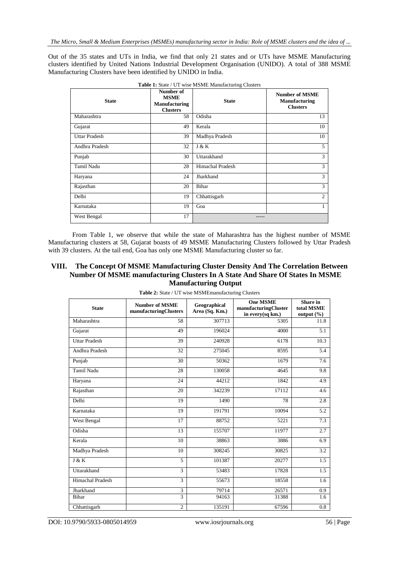Out of the 35 states and UTs in India, we find that only 21 states and or UTs have MSME Manufacturing clusters identified by United Nations Industrial Development Organisation (UNIDO). A total of 388 MSME Manufacturing Clusters have been identified by UNIDO in India.

| <b>State</b>         | Number of<br><b>MSME</b><br><b>Manufacturing</b><br><b>Clusters</b> | <b>State</b>     | <b>Number of MSME</b><br><b>Manufacturing</b><br><b>Clusters</b> |
|----------------------|---------------------------------------------------------------------|------------------|------------------------------------------------------------------|
| Maharashtra          | 58                                                                  | Odisha           | 13                                                               |
| Gujarat              | 49                                                                  | Kerala           | 10                                                               |
| <b>Uttar Pradesh</b> | 39                                                                  | Madhya Pradesh   | 10                                                               |
| Andhra Pradesh       | 32                                                                  | J & K            | $\mathfrak{F}$                                                   |
| Punjab               | 30                                                                  | Uttarakhand      | 3                                                                |
| Tamil Nadu           | 28                                                                  | Himachal Pradesh | 3                                                                |
| Haryana              | 24                                                                  | Jharkhand        | 3                                                                |
| Rajasthan            | 20                                                                  | <b>Bihar</b>     | 3                                                                |
| Delhi                | 19                                                                  | Chhattisgarh     | $\overline{2}$                                                   |
| Karnataka            | 19                                                                  | Goa              | 1                                                                |
| West Bengal          | 17                                                                  |                  |                                                                  |

**Table 1:** State / UT wise MSME Manufacturing Clusters

From Table 1, we observe that while the state of Maharashtra has the highest number of MSME Manufacturing clusters at 58, Gujarat boasts of 49 MSME Manufacturing Clusters followed by Uttar Pradesh with 39 clusters. At the tail end, Goa has only one MSME Manufacturing cluster so far.

#### **VIII. The Concept Of MSME Manufacturing Cluster Density And The Correlation Between Number Of MSME manufacturing Clusters In A State And Share Of States In MSME Manufacturing Output**

| <b>State</b>         | <b>Number of MSME</b><br>manufacturingClusters | Geographical<br>Area (Sq. Km.) | <b>One MSME</b><br>manufacturingCluster<br>in every(sq km.) | <b>Share</b> in<br>total MSME<br>output $(\% )$ |
|----------------------|------------------------------------------------|--------------------------------|-------------------------------------------------------------|-------------------------------------------------|
| Maharashtra          | 58                                             | 307713                         | 5305                                                        | 11.8                                            |
| Gujarat              | 49                                             | 196024                         | 4000                                                        | 5.1                                             |
| <b>Uttar Pradesh</b> | 39                                             | 240928                         | 6178                                                        | 10.3                                            |
| Andhra Pradesh       | 32                                             | 275045                         | 8595                                                        | $\overline{5.4}$                                |
| Punjab               | 30                                             | 50362                          | 1679                                                        | 7.6                                             |
| <b>Tamil Nadu</b>    | 28                                             | 130058                         | 4645                                                        | 9.8                                             |
| Haryana              | 24                                             | 44212                          | 1842                                                        | 4.9                                             |
| Rajasthan            | 20                                             | 342239                         | 17112                                                       | 4.6                                             |
| Delhi                | 19                                             | 1490                           | 78                                                          | 2.8                                             |
| Karnataka            | 19                                             | 191791                         | 10094                                                       | 5.2                                             |
| West Bengal          | 17                                             | 88752                          | 5221                                                        | 7.3                                             |
| Odisha               | 13                                             | 155707                         | 11977                                                       | 2.7                                             |
| Kerala               | 10                                             | 38863                          | 3886                                                        | 6.9                                             |
| Madhya Pradesh       | 10                                             | 308245                         | 30825                                                       | 3.2                                             |
| J & K                | 5                                              | 101387                         | 20277                                                       | 1.5                                             |
| Uttarakhand          | $\overline{3}$                                 | 53483                          | 17828                                                       | 1.5                                             |
| Himachal Pradesh     | 3                                              | 55673                          | 18558                                                       | 1.6                                             |
| Jharkhand            | 3                                              | 79714                          | 26571                                                       | 0.9                                             |
| Bihar                | $\overline{3}$                                 | 94163                          | 31388                                                       | 1.6                                             |
| Chhattisgarh         | $\overline{c}$                                 | 135191                         | 67596                                                       | $\overline{0.8}$                                |

**Table 2:** State / UT wise MSMEmanufacturing Clusters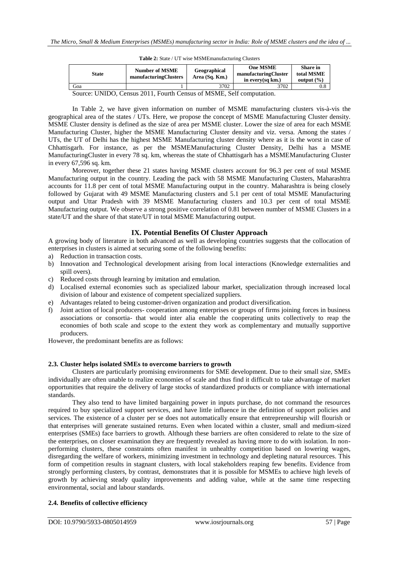| <b>State</b>                                                                                                                                                                                                                                                  | <b>Number of MSME</b><br>manufacturingClusters | Geographical<br>Area (Sq. Km.) | <b>One MSME</b><br>manufacturingCluster<br>in every(sq km.) | <b>Share</b> in<br>total MSME<br>output $(\% )$ |  |  |
|---------------------------------------------------------------------------------------------------------------------------------------------------------------------------------------------------------------------------------------------------------------|------------------------------------------------|--------------------------------|-------------------------------------------------------------|-------------------------------------------------|--|--|
| Goa                                                                                                                                                                                                                                                           |                                                | 3702                           | 3702                                                        | 0.8                                             |  |  |
| $\mathcal{C}_{\text{current}}$ , UNIDO, $\mathcal{C}_{\text{current}}$ , $2011$ , $\mathcal{C}_{\text{current}}$ , $\mathcal{C}_{\text{current}}$ , $\mathcal{C}_{\text{M}}$ , $\mathcal{C}_{\text{M}}$ , $\mathcal{C}_{\text{M}}$ , $\mathcal{C}_{\text{M}}$ |                                                |                                |                                                             |                                                 |  |  |

**Table 2:** State / UT wise MSMEmanufacturing Clusters

Source: UNIDO, Census 2011, Fourth Census of MSME, Self computation.

In Table 2, we have given information on number of MSME manufacturing clusters vis-à-vis the geographical area of the states / UTs. Here, we propose the concept of MSME Manufacturing Cluster density. MSME Cluster density is defined as the size of area per MSME cluster. Lower the size of area for each MSME Manufacturing Cluster, higher the MSME Manufacturing Cluster density and viz. versa. Among the states / UTs, the UT of Delhi has the highest MSME Manufacturing cluster density where as it is the worst in case of Chhattisgarh. For instance, as per the MSMEManufacturing Cluster Density, Delhi has a MSME ManufacturingCluster in every 78 sq. km, whereas the state of Chhattisgarh has a MSMEManufacturing Cluster in every 67,596 sq. km.

Moreover, together these 21 states having MSME clusters account for 96.3 per cent of total MSME Manufacturing output in the country. Leading the pack with 58 MSME Manufacturing Clusters, Maharashtra accounts for 11.8 per cent of total MSME Manufacturing output in the country. Maharashtra is being closely followed by Gujarat with 49 MSME Manufacturing clusters and 5.1 per cent of total MSME Manufacturing output and Uttar Pradesh with 39 MSME Manufacturing clusters and 10.3 per cent of total MSME Manufacturing output. We observe a strong positive correlation of 0.81 between number of MSME Clusters in a state/UT and the share of that state/UT in total MSME Manufacturing output.

#### **IX. Potential Benefits Of Cluster Approach**

A growing body of literature in both advanced as well as developing countries suggests that the collocation of enterprises in clusters is aimed at securing some of the following benefits:

- a) Reduction in transaction costs.
- b) Innovation and Technological development arising from local interactions (Knowledge externalities and spill overs).
- c) Reduced costs through learning by imitation and emulation.
- d) Localised external economies such as specialized labour market, specialization through increased local division of labour and existence of competent specialized suppliers.
- e) Advantages related to being customer-driven organization and product diversification.
- f) Joint action of local producers- cooperation among enterprises or groups of firms joining forces in business associations or consortia- that would inter alia enable the cooperating units collectively to reap the economies of both scale and scope to the extent they work as complementary and mutually supportive producers.

However, the predominant benefits are as follows:

#### **2.3. Cluster helps isolated SMEs to overcome barriers to growth**

Clusters are particularly promising environments for SME development. Due to their small size, SMEs individually are often unable to realize economies of scale and thus find it difficult to take advantage of market opportunities that require the delivery of large stocks of standardized products or compliance with international standards.

They also tend to have limited bargaining power in inputs purchase, do not command the resources required to buy specialized support services, and have little influence in the definition of support policies and services. The existence of a cluster per se does not automatically ensure that entrepreneurship will flourish or that enterprises will generate sustained returns. Even when located within a cluster, small and medium-sized enterprises (SMEs) face barriers to growth. Although these barriers are often considered to relate to the size of the enterprises, on closer examination they are frequently revealed as having more to do with isolation. In nonperforming clusters, these constraints often manifest in unhealthy competition based on lowering wages, disregarding the welfare of workers, minimizing investment in technology and depleting natural resources. This form of competition results in stagnant clusters, with local stakeholders reaping few benefits. Evidence from strongly performing clusters, by contrast, demonstrates that it is possible for MSMEs to achieve high levels of growth by achieving steady quality improvements and adding value, while at the same time respecting environmental, social and labour standards.

#### **2.4. Benefits of collective efficiency**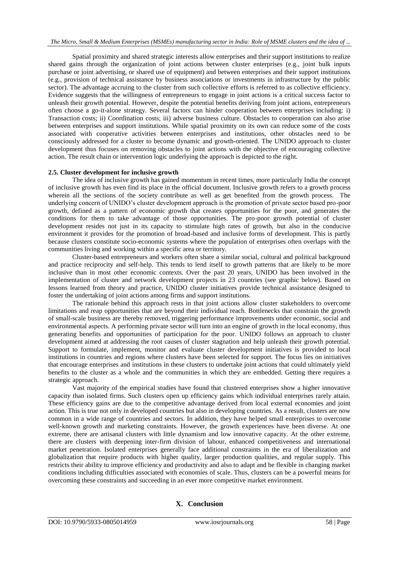Spatial proximity and shared strategic interests allow enterprises and their support institutions to realize shared gains through the organization of joint actions between cluster enterprises (e.g., joint bulk inputs purchase or joint advertising, or shared use of equipment) and between enterprises and their support institutions (e.g., provision of technical assistance by business associations or investments in infrastructure by the public sector). The advantage accruing to the cluster from such collective efforts is referred to as collective efficiency. Evidence suggests that the willingness of entrepreneurs to engage in joint actions is a critical success factor to unleash their growth potential. However, despite the potential benefits deriving from joint actions, entrepreneurs often choose a go-it-alone strategy. Several factors can hinder cooperation between enterprises including: i) Transaction costs; ii) Coordination costs; iii) adverse business culture. Obstacles to cooperation can also arise between enterprises and support institutions. While spatial proximity on its own can reduce some of the costs associated with cooperative activities between enterprises and institutions, other obstacles need to be consciously addressed for a cluster to become dynamic and growth-oriented. The UNIDO approach to cluster development thus focuses on removing obstacles to joint actions with the objective of encouraging collective action. The result chain or intervention logic underlying the approach is depicted to the right.

#### **2.5. Cluster development for inclusive growth**

The idea of inclusive growth has gained momentum in recent times, more particularly India the concept of inclusive growth has even find its place in the official document. Inclusive growth refers to a growth process wherein all the sections of the society contribute as well as get benefited from the growth process. The underlying concern of UNIDO"s cluster development approach is the promotion of private sector based pro-poor growth, defined as a pattern of economic growth that creates opportunities for the poor, and generates the conditions for them to take advantage of those opportunities. The pro-poor growth potential of cluster development resides not just in its capacity to stimulate high rates of growth, but also in the conducive environment it provides for the promotion of broad-based and inclusive forms of development. This is partly because clusters constitute socio-economic systems where the population of enterprises often overlaps with the communities living and working within a specific area or territory.

Cluster-based entrepreneurs and workers often share a similar social, cultural and political background and practice reciprocity and self-help. This tends to lend itself to growth patterns that are likely to be more inclusive than in most other economic contexts. Over the past 20 years, UNIDO has been involved in the implementation of cluster and network development projects in 23 countries (see graphic below). Based on lessons learned from theory and practice, UNIDO cluster initiatives provide technical assistance designed to foster the undertaking of joint actions among firms and support institutions.

The rationale behind this approach rests in that joint actions allow cluster stakeholders to overcome limitations and reap opportunities that are beyond their individual reach. Bottlenecks that constrain the growth of small-scale business are thereby removed, triggering performance improvements under economic, social and environmental aspects. A performing private sector will turn into an engine of growth in the local economy, thus generating benefits and opportunities of participation for the poor. UNIDO follows an approach to cluster development aimed at addressing the root causes of cluster stagnation and help unleash their growth potential. Support to formulate, implement, monitor and evaluate cluster development initiatives is provided to local institutions in countries and regions where clusters have been selected for support. The focus lies on initiatives that encourage enterprises and institutions in these clusters to undertake joint actions that could ultimately yield benefits to the cluster as a whole and the communities in which they are embedded. Getting there requires a strategic approach.

Vast majority of the empirical studies have found that clustered enterprises show a higher innovative capacity than isolated firms. Such clusters open up efficiency gains which individual enterprises rarely attain. These efficiency gains are due to the competitive advantage derived from local external economies and joint action. This is true not only in developed countries but also in developing countries. As a result, clusters are now common in a wide range of countries and sectors. In addition, they have helped small enterprises to overcome well-known growth and marketing constraints. However, the growth experiences have been diverse. At one extreme, there are artisanal clusters with little dynamism and low innovative capacity. At the other extreme, there are clusters with deepening inter-firm division of labour, enhanced competitiveness and international market penetration. Isolated enterprises generally face additional constraints in the era of liberalization and globalization that require products with higher quality, larger production qualities, and regular supply. This restricts their ability to improve efficiency and productivity and also to adapt and be flexible in changing market conditions including difficulties associated with economies of scale. Thus, clusters can be a powerful means for overcoming these constraints and succeeding in an ever more competitive market environment.

# **X. Conclusion**